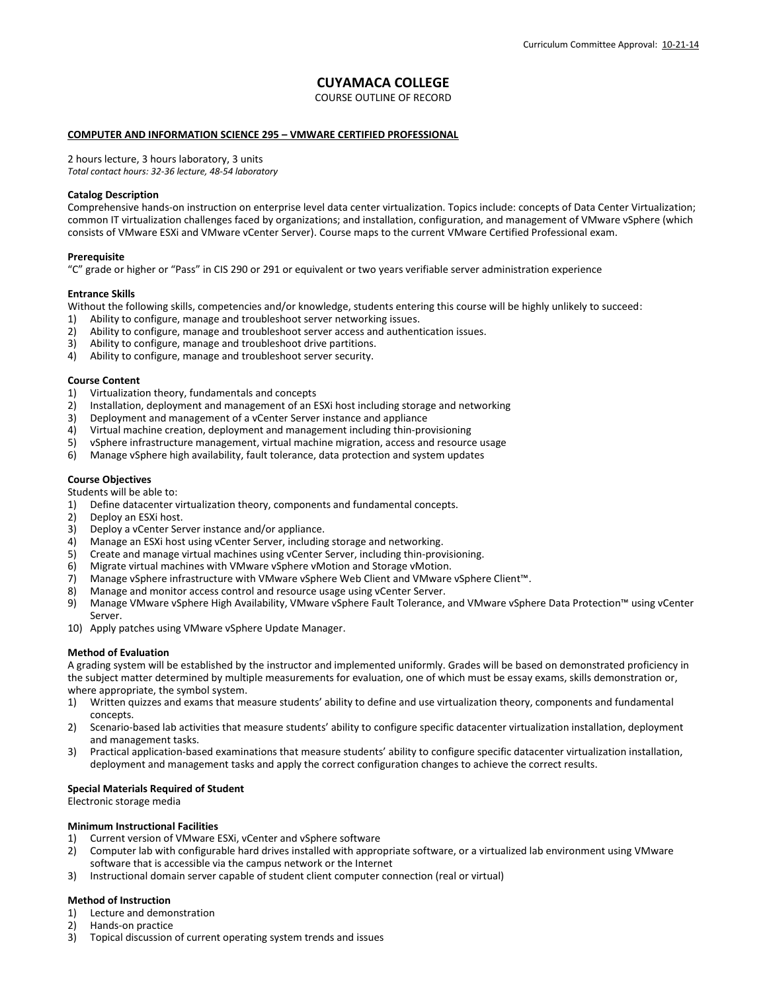# **CUYAMACA COLLEGE**

COURSE OUTLINE OF RECORD

# **COMPUTER AND INFORMATION SCIENCE 295 – VMWARE CERTIFIED PROFESSIONAL**

2 hours lecture, 3 hours laboratory, 3 units *Total contact hours: 32-36 lecture, 48-54 laboratory*

# **Catalog Description**

Comprehensive hands-on instruction on enterprise level data center virtualization. Topics include: concepts of Data Center Virtualization; common IT virtualization challenges faced by organizations; and installation, configuration, and management of VMware vSphere (which consists of VMware ESXi and VMware vCenter Server). Course maps to the current VMware Certified Professional exam.

# **Prerequisite**

"C" grade or higher or "Pass" in CIS 290 or 291 or equivalent or two years verifiable server administration experience

# **Entrance Skills**

Without the following skills, competencies and/or knowledge, students entering this course will be highly unlikely to succeed:

- 1) Ability to configure, manage and troubleshoot server networking issues.
- 2) Ability to configure, manage and troubleshoot server access and authentication issues.<br>3) Ability to configure, manage and troubleshoot drive partitions.
- 3) Ability to configure, manage and troubleshoot drive partitions.<br>4) Ability to configure, manage and troubleshoot server security.
- Ability to configure, manage and troubleshoot server security.

# **Course Content**

- 1) Virtualization theory, fundamentals and concepts
- 2) Installation, deployment and management of an ESXi host including storage and networking<br>3) Deployment and management of a vCenter Server instance and appliance
- 3) Deployment and management of a vCenter Server instance and appliance
- 4) Virtual machine creation, deployment and management including thin-provisioning
- 5) vSphere infrastructure management, virtual machine migration, access and resource usage
- 6) Manage vSphere high availability, fault tolerance, data protection and system updates

# **Course Objectives**

Students will be able to:

- 1) Define datacenter virtualization theory, components and fundamental concepts.
- 2) Deploy an ESXi host.
- 3) Deploy a vCenter Server instance and/or appliance.
- 4) Manage an ESXi host using vCenter Server, including storage and networking.
- 5) Create and manage virtual machines using vCenter Server, including thin-provisioning.
- 6) Migrate virtual machines with VMware vSphere vMotion and Storage vMotion.
- 7) Manage vSphere infrastructure with VMware vSphere Web Client and VMware vSphere Client™.
- 8) Manage and monitor access control and resource usage using vCenter Server.
- 9) Manage VMware vSphere High Availability, VMware vSphere Fault Tolerance, and VMware vSphere Data Protection™ using vCenter Server.
- 10) Apply patches using VMware vSphere Update Manager.

#### **Method of Evaluation**

A grading system will be established by the instructor and implemented uniformly. Grades will be based on demonstrated proficiency in the subject matter determined by multiple measurements for evaluation, one of which must be essay exams, skills demonstration or, where appropriate, the symbol system.

- 1) Written quizzes and exams that measure students' ability to define and use virtualization theory, components and fundamental concepts.
- 2) Scenario-based lab activities that measure students' ability to configure specific datacenter virtualization installation, deployment and management tasks.
- 3) Practical application-based examinations that measure students' ability to configure specific datacenter virtualization installation, deployment and management tasks and apply the correct configuration changes to achieve the correct results.

# **Special Materials Required of Student**

Electronic storage media

#### **Minimum Instructional Facilities**

- 1) Current version of VMware ESXi, vCenter and vSphere software
- 2) Computer lab with configurable hard drives installed with appropriate software, or a virtualized lab environment using VMware software that is accessible via the campus network or the Internet
- 3) Instructional domain server capable of student client computer connection (real or virtual)

# **Method of Instruction**

- 1) Lecture and demonstration
- 2) Hands-on practice
- 3) Topical discussion of current operating system trends and issues